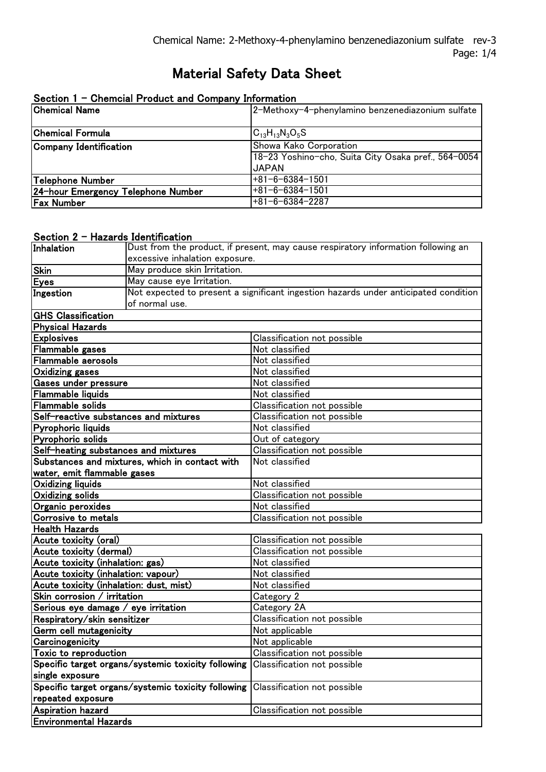# Material Safety Data Sheet

| Section 1 - Chemcial Product and Company Information |                                                     |  |
|------------------------------------------------------|-----------------------------------------------------|--|
| <b>Chemical Name</b>                                 | 2-Methoxy-4-phenylamino benzenediazonium sulfate    |  |
|                                                      |                                                     |  |
| Chemical Formula                                     | $C_{13}H_{13}N_3O_5S$                               |  |
| Company Identification                               | Showa Kako Corporation                              |  |
|                                                      | 18-23 Yoshino-cho, Suita City Osaka pref., 564-0054 |  |
|                                                      | <b>JAPAN</b>                                        |  |
| Telephone Number                                     | $+81 - 6 - 6384 - 1501$                             |  |
| 24-hour Emergency Telephone Number                   | $+81 - 6 - 6384 - 1501$                             |  |
| <b>Fax Number</b>                                    | $+81-6-6384-2287$                                   |  |

### Section 2 - Hazards Identification

|                                                    | <b>HULL TO HUUTTURGUUTT</b>    | Dust from the product, if present, may cause respiratory information following an   |
|----------------------------------------------------|--------------------------------|-------------------------------------------------------------------------------------|
| Inhalation                                         |                                |                                                                                     |
|                                                    | excessive inhalation exposure. |                                                                                     |
| Skin                                               | May produce skin Irritation.   |                                                                                     |
| <u>Eyes</u>                                        | May cause eye Irritation.      |                                                                                     |
| <b>Ingestion</b>                                   |                                | Not expected to present a significant ingestion hazards under anticipated condition |
|                                                    | of normal use.                 |                                                                                     |
| <b>GHS Classification</b>                          |                                |                                                                                     |
| <b>Physical Hazards</b>                            |                                |                                                                                     |
| <b>Explosives</b>                                  |                                | Classification not possible                                                         |
| Flammable gases                                    |                                | Not classified                                                                      |
| <b>Flammable aerosols</b>                          |                                | Not classified                                                                      |
| <b>Oxidizing gases</b>                             |                                | Not classified                                                                      |
| <b>Gases under pressure</b>                        |                                | Not classified                                                                      |
| <b>Flammable liquids</b>                           |                                | Not classified                                                                      |
| <b>Flammable solids</b>                            |                                | Classification not possible                                                         |
| Self-reactive substances and mixtures              |                                | Classification not possible                                                         |
| Pyrophoric liquids                                 |                                | Not classified                                                                      |
| Pyrophoric solids                                  |                                | Out of category                                                                     |
| Self-heating substances and mixtures               |                                | Classification not possible                                                         |
| Substances and mixtures, which in contact with     |                                | Not classified                                                                      |
| water, emit flammable gases                        |                                |                                                                                     |
| <b>Oxidizing liquids</b>                           |                                | Not classified                                                                      |
| <b>Oxidizing solids</b>                            |                                | Classification not possible                                                         |
| Organic peroxides                                  |                                | Not classified                                                                      |
| Corrosive to metals                                |                                | Classification not possible                                                         |
| <b>Health Hazards</b>                              |                                |                                                                                     |
| Acute toxicity (oral)                              |                                | Classification not possible                                                         |
| Acute toxicity (dermal)                            |                                | Classification not possible                                                         |
| Acute toxicity (inhalation: gas)                   |                                | Not classified                                                                      |
| Acute toxicity (inhalation: vapour)                |                                | Not classified                                                                      |
| Acute toxicity (inhalation: dust, mist)            |                                | Not classified                                                                      |
| Skin corrosion / irritation                        |                                | Category 2                                                                          |
| Serious eye damage / eye irritation                |                                | Category 2A                                                                         |
| Respiratory/skin sensitizer                        |                                | Classification not possible                                                         |
| Germ cell mutagenicity                             |                                | Not applicable                                                                      |
| Carcinogenicity                                    |                                | Not applicable                                                                      |
| Toxic to reproduction                              |                                | Classification not possible                                                         |
| Specific target organs/systemic toxicity following |                                | Classification not possible                                                         |
| single exposure                                    |                                |                                                                                     |
| Specific target organs/systemic toxicity following |                                | Classification not possible                                                         |
| repeated exposure                                  |                                |                                                                                     |
| <b>Aspiration hazard</b>                           |                                | Classification not possible                                                         |
| <b>Environmental Hazards</b>                       |                                |                                                                                     |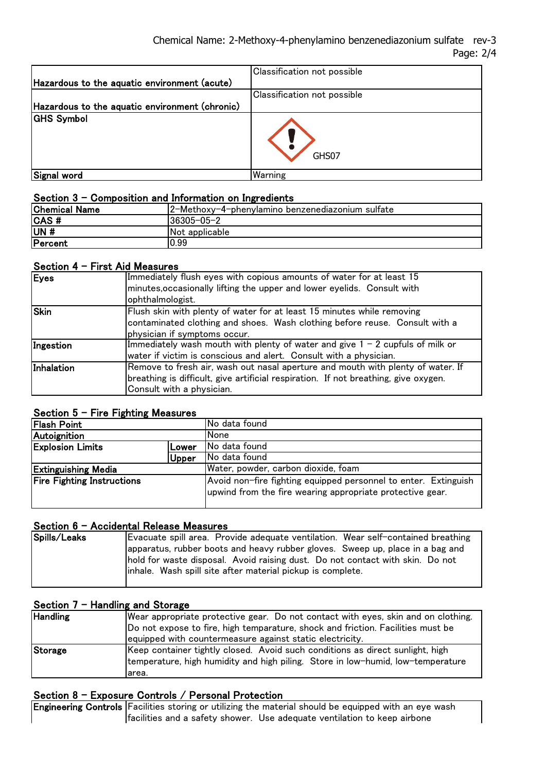|                                                | <b>Classification not possible</b> |
|------------------------------------------------|------------------------------------|
| Hazardous to the aquatic environment (acute)   |                                    |
|                                                | <b>Classification not possible</b> |
| Hazardous to the aquatic environment (chronic) |                                    |
| <b>GHS Symbol</b>                              | GHS07                              |
| Signal word                                    | Warning                            |

### Section 3 - Composition and Information on Ingredients

| <b>Chemical Name</b> | 2-Methoxy-4-phenylamino benzenediazonium sulfate |
|----------------------|--------------------------------------------------|
| $ CAS$ #             | 36305-05-2                                       |
| UN#                  | Not applicable                                   |
| Percent              | 0.99                                             |

### Section 4 - First Aid Measures

| Eyes        | Immediately flush eyes with copious amounts of water for at least 15<br>minutes, occasionally lifting the upper and lower eyelids. Consult with<br>ophthalmologist.                                 |
|-------------|-----------------------------------------------------------------------------------------------------------------------------------------------------------------------------------------------------|
| <b>Skin</b> | Flush skin with plenty of water for at least 15 minutes while removing<br>contaminated clothing and shoes. Wash clothing before reuse. Consult with a<br>physician if symptoms occur.               |
| Ingestion   | Immediately wash mouth with plenty of water and give $1 - 2$ cupfuls of milk or<br>water if victim is conscious and alert. Consult with a physician.                                                |
| Inhalation  | Remove to fresh air, wash out nasal aperture and mouth with plenty of water. If<br>breathing is difficult, give artificial respiration. If not breathing, give oxygen.<br>Consult with a physician. |

### Section 5 - Fire Fighting Measures

| ---------                         |       |                                                                                                                              |
|-----------------------------------|-------|------------------------------------------------------------------------------------------------------------------------------|
| <b>Flash Point</b>                |       | No data found                                                                                                                |
| Autoignition                      |       | None                                                                                                                         |
| <b>Explosion Limits</b>           | Lower | No data found                                                                                                                |
|                                   | Upper | No data found                                                                                                                |
| <b>Extinguishing Media</b>        |       | Water, powder, carbon dioxide, foam                                                                                          |
| <b>Fire Fighting Instructions</b> |       | Avoid non-fire fighting equipped personnel to enter. Extinguish<br>upwind from the fire wearing appropriate protective gear. |

### Section 6 - Accidental Release Measures

| Spills/Leaks | Evacuate spill area. Provide adequate ventilation. Wear self-contained breathing |
|--------------|----------------------------------------------------------------------------------|
|              | apparatus, rubber boots and heavy rubber gloves. Sweep up, place in a bag and    |
|              | hold for waste disposal. Avoid raising dust. Do not contact with skin. Do not    |
|              | linhale. Wash spill site after material pickup is complete.                      |
|              |                                                                                  |

### Section  $7 -$  Handling and Storage

| <b>Handling</b> | Wear appropriate protective gear. Do not contact with eyes, skin and on clothing. |
|-----------------|-----------------------------------------------------------------------------------|
|                 | Do not expose to fire, high temparature, shock and friction. Facilities must be   |
|                 | equipped with countermeasure against static electricity.                          |
| Storage         | Keep container tightly closed. Avoid such conditions as direct sunlight, high     |
|                 | temperature, high humidity and high piling. Store in low-humid, low-temperature   |
|                 | larea.                                                                            |

### Section 8 - Exposure Controls / Personal Protection

Engineering Controls Facilities storing or utilizing the material should be equipped with an eye wash facilities and a safety shower. Use adequate ventilation to keep airbone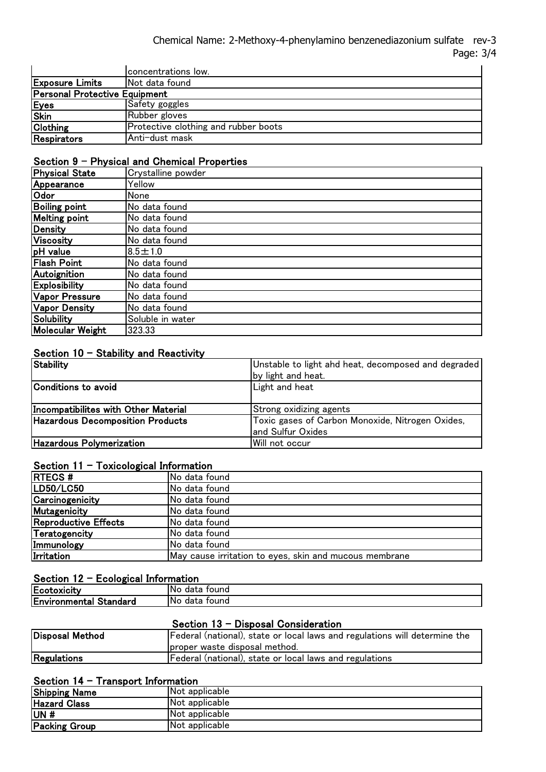#### Chemical Name: 2-Methoxy-4-phenylamino benzenediazonium sulfate rev-3 Page: 3/4  $\frac{1}{\sqrt{2}}$  statistical showledge with an eye washing the material showledge with an eye was however with an eye was however with an eye was however with an eye was however with an eye was however with an eye was however

|                                      | concentrations low.                  |
|--------------------------------------|--------------------------------------|
| <b>Exposure Limits</b>               | Not data found                       |
| <b>Personal Protective Equipment</b> |                                      |
| Eyes                                 | Safety goggles                       |
| <b>Skin</b>                          | Rubber gloves                        |
| Clothing                             | Protective clothing and rubber boots |
| Respirators                          | Anti-dust mask                       |

### Section 9 - Physical and Chemical Properties

| <b>Physical State</b>   | Crystalline powder |
|-------------------------|--------------------|
| Appearance              | Yellow             |
| Odor                    | None               |
| <b>Boiling point</b>    | No data found      |
| <b>Melting point</b>    | No data found      |
| Density                 | No data found      |
| <b>Viscosity</b>        | No data found      |
| pH value                | $8.5 \pm 1.0$      |
| <b>Flash Point</b>      | No data found      |
| Autoignition            | No data found      |
| <b>Explosibility</b>    | No data found      |
| <b>Vapor Pressure</b>   | No data found      |
| <b>Vapor Density</b>    | No data found      |
| <b>Solubility</b>       | Soluble in water   |
| <b>Molecular Weight</b> | 323.33             |

### Section  $10 -$  Stability and Reactivity

| Stability                            | Unstable to light ahd heat, decomposed and degraded<br>by light and heat. |
|--------------------------------------|---------------------------------------------------------------------------|
| Conditions to avoid                  | Light and heat                                                            |
| Incompatibilites with Other Material | Strong oxidizing agents                                                   |
| Hazardous Decomposition Products     | Toxic gases of Carbon Monoxide, Nitrogen Oxides,<br>and Sulfur Oxides     |
| <b>Hazardous Polymerization</b>      | lWill not occur                                                           |

### Section  $11 -$  Toxicological Information

| <b>RTECS#</b>        | No data found                                          |
|----------------------|--------------------------------------------------------|
| LD50/LC50            | No data found                                          |
| Carcinogenicity      | No data found                                          |
| Mutagenicity         | No data found                                          |
| Reproductive Effects | No data found                                          |
| Teratogencity        | No data found                                          |
| Immunology           | No data found                                          |
| Irritation           | May cause irritation to eyes, skin and mucous membrane |

### Section 12 - Ecological Information

| ---------                     |                      |  |
|-------------------------------|----------------------|--|
| Ecotoxicity                   | touna<br>'No<br>data |  |
| <b>Environmental Standard</b> | No.<br>tound<br>data |  |
|                               |                      |  |

### Section 13 - Disposal Consideration

| Disposal Method | Federal (national), state or local laws and regulations will determine the |  |
|-----------------|----------------------------------------------------------------------------|--|
|                 | proper waste disposal method.                                              |  |
| Regulations     | Federal (national), state or local laws and regulations                    |  |

## Section 14 - Transport Information

| <b>Shipping Name</b> | Not applicable |
|----------------------|----------------|
| <b>Hazard Class</b>  | Not applicable |
| UN#                  | Not applicable |
| <b>Packing Group</b> | Not applicable |